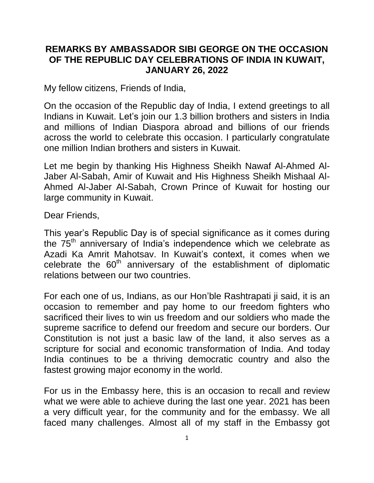## **REMARKS BY AMBASSADOR SIBI GEORGE ON THE OCCASION OF THE REPUBLIC DAY CELEBRATIONS OF INDIA IN KUWAIT, JANUARY 26, 2022**

My fellow citizens, Friends of India,

On the occasion of the Republic day of India, I extend greetings to all Indians in Kuwait. Let's join our 1.3 billion brothers and sisters in India and millions of Indian Diaspora abroad and billions of our friends across the world to celebrate this occasion. I particularly congratulate one million Indian brothers and sisters in Kuwait.

Let me begin by thanking His Highness Sheikh Nawaf Al-Ahmed Al-Jaber Al-Sabah, Amir of Kuwait and His Highness Sheikh Mishaal Al-Ahmed Al-Jaber Al-Sabah, Crown Prince of Kuwait for hosting our large community in Kuwait.

Dear Friends,

This year's Republic Day is of special significance as it comes during the 75<sup>th</sup> anniversary of India's independence which we celebrate as Azadi Ka Amrit Mahotsav. In Kuwait's context, it comes when we celebrate the  $60<sup>th</sup>$  anniversary of the establishment of diplomatic relations between our two countries.

For each one of us, Indians, as our Hon'ble Rashtrapati ji said, it is an occasion to remember and pay home to our freedom fighters who sacrificed their lives to win us freedom and our soldiers who made the supreme sacrifice to defend our freedom and secure our borders. Our Constitution is not just a basic law of the land, it also serves as a scripture for social and economic transformation of India. And today India continues to be a thriving democratic country and also the fastest growing major economy in the world.

For us in the Embassy here, this is an occasion to recall and review what we were able to achieve during the last one year. 2021 has been a very difficult year, for the community and for the embassy. We all faced many challenges. Almost all of my staff in the Embassy got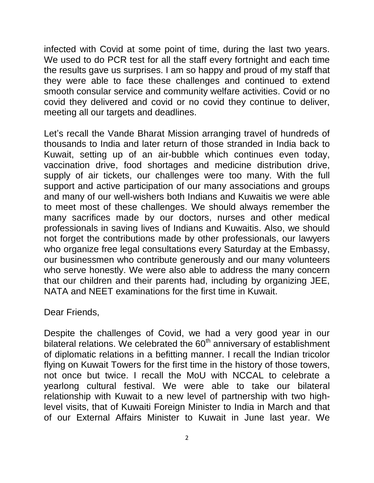infected with Covid at some point of time, during the last two years. We used to do PCR test for all the staff every fortnight and each time the results gave us surprises. I am so happy and proud of my staff that they were able to face these challenges and continued to extend smooth consular service and community welfare activities. Covid or no covid they delivered and covid or no covid they continue to deliver, meeting all our targets and deadlines.

Let's recall the Vande Bharat Mission arranging travel of hundreds of thousands to India and later return of those stranded in India back to Kuwait, setting up of an air-bubble which continues even today, vaccination drive, food shortages and medicine distribution drive, supply of air tickets, our challenges were too many. With the full support and active participation of our many associations and groups and many of our well-wishers both Indians and Kuwaitis we were able to meet most of these challenges. We should always remember the many sacrifices made by our doctors, nurses and other medical professionals in saving lives of Indians and Kuwaitis. Also, we should not forget the contributions made by other professionals, our lawyers who organize free legal consultations every Saturday at the Embassy, our businessmen who contribute generously and our many volunteers who serve honestly. We were also able to address the many concern that our children and their parents had, including by organizing JEE, NATA and NEET examinations for the first time in Kuwait.

Dear Friends,

Despite the challenges of Covid, we had a very good year in our bilateral relations. We celebrated the 60<sup>th</sup> anniversary of establishment of diplomatic relations in a befitting manner. I recall the Indian tricolor flying on Kuwait Towers for the first time in the history of those towers, not once but twice. I recall the MoU with NCCAL to celebrate a yearlong cultural festival. We were able to take our bilateral relationship with Kuwait to a new level of partnership with two highlevel visits, that of Kuwaiti Foreign Minister to India in March and that of our External Affairs Minister to Kuwait in June last year. We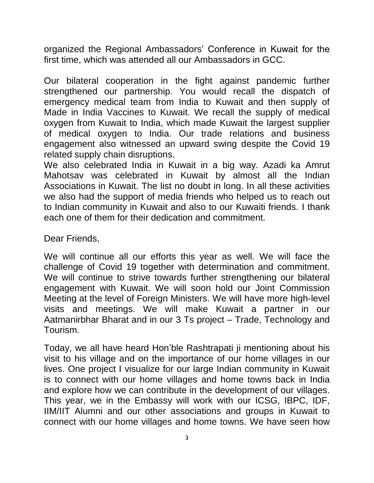organized the Regional Ambassadors' Conference in Kuwait for the first time, which was attended all our Ambassadors in GCC.

Our bilateral cooperation in the fight against pandemic further strengthened our partnership. You would recall the dispatch of emergency medical team from India to Kuwait and then supply of Made in India Vaccines to Kuwait. We recall the supply of medical oxygen from Kuwait to India, which made Kuwait the largest supplier of medical oxygen to India. Our trade relations and business engagement also witnessed an upward swing despite the Covid 19 related supply chain disruptions.

We also celebrated India in Kuwait in a big way. Azadi ka Amrut Mahotsav was celebrated in Kuwait by almost all the Indian Associations in Kuwait. The list no doubt in long. In all these activities we also had the support of media friends who helped us to reach out to Indian community in Kuwait and also to our Kuwaiti friends. I thank each one of them for their dedication and commitment.

Dear Friends,

We will continue all our efforts this year as well. We will face the challenge of Covid 19 together with determination and commitment. We will continue to strive towards further strengthening our bilateral engagement with Kuwait. We will soon hold our Joint Commission Meeting at the level of Foreign Ministers. We will have more high-level visits and meetings. We will make Kuwait a partner in our Aatmanirbhar Bharat and in our 3 Ts project – Trade, Technology and Tourism.

Today, we all have heard Hon'ble Rashtrapati ji mentioning about his visit to his village and on the importance of our home villages in our lives. One project I visualize for our large Indian community in Kuwait is to connect with our home villages and home towns back in India and explore how we can contribute in the development of our villages. This year, we in the Embassy will work with our ICSG, IBPC, IDF, IIM/IIT Alumni and our other associations and groups in Kuwait to connect with our home villages and home towns. We have seen how